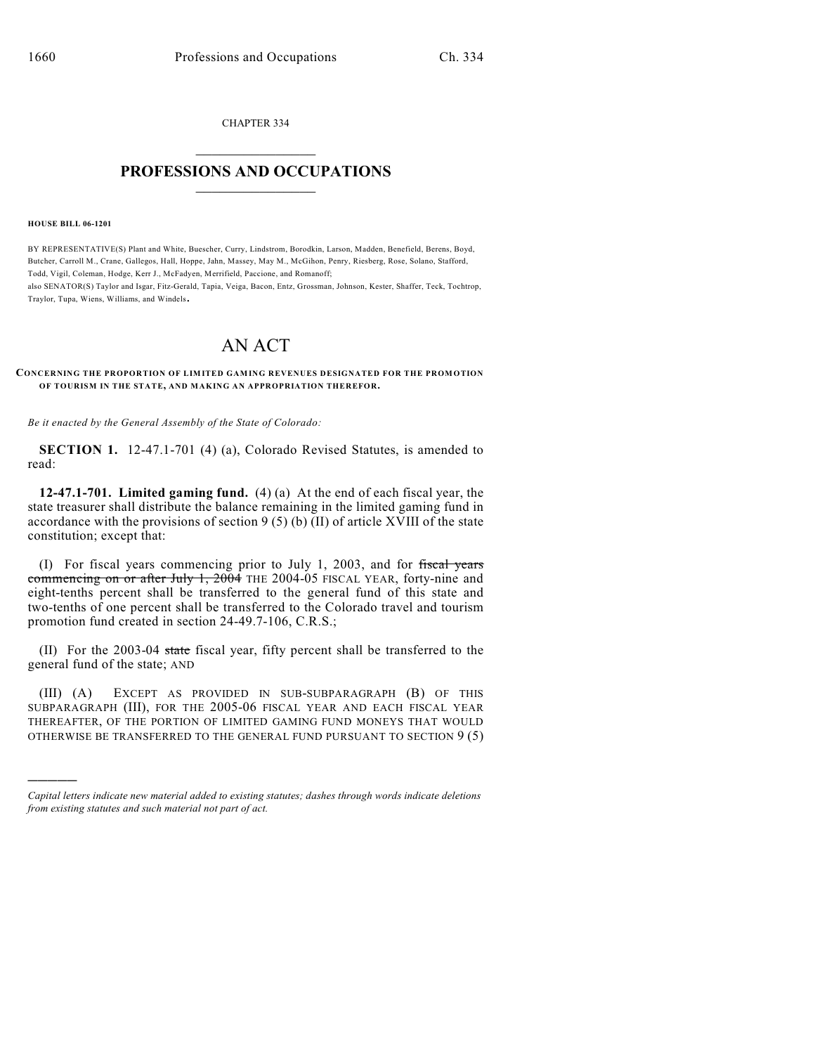CHAPTER 334  $\overline{\phantom{a}}$  . The set of the set of the set of the set of the set of the set of the set of the set of the set of the set of the set of the set of the set of the set of the set of the set of the set of the set of the set o

## **PROFESSIONS AND OCCUPATIONS**  $\frac{1}{2}$  ,  $\frac{1}{2}$  ,  $\frac{1}{2}$  ,  $\frac{1}{2}$  ,  $\frac{1}{2}$  ,  $\frac{1}{2}$

## **HOUSE BILL 06-1201**

)))))

BY REPRESENTATIVE(S) Plant and White, Buescher, Curry, Lindstrom, Borodkin, Larson, Madden, Benefield, Berens, Boyd, Butcher, Carroll M., Crane, Gallegos, Hall, Hoppe, Jahn, Massey, May M., McGihon, Penry, Riesberg, Rose, Solano, Stafford, Todd, Vigil, Coleman, Hodge, Kerr J., McFadyen, Merrifield, Paccione, and Romanoff; also SENATOR(S) Taylor and Isgar, Fitz-Gerald, Tapia, Veiga, Bacon, Entz, Grossman, Johnson, Kester, Shaffer, Teck, Tochtrop, Traylor, Tupa, Wiens, Williams, and Windels.

## AN ACT

## **CONCERNING THE PROPORTION OF LIMITED GAMING REVENUES DESIGNATED FOR THE PROMOTION OF TOURISM IN THE STATE, AND MAKING AN APPROPRIATION THEREFOR.**

*Be it enacted by the General Assembly of the State of Colorado:*

**SECTION 1.** 12-47.1-701 (4) (a), Colorado Revised Statutes, is amended to read:

**12-47.1-701. Limited gaming fund.** (4) (a) At the end of each fiscal year, the state treasurer shall distribute the balance remaining in the limited gaming fund in accordance with the provisions of section  $9(5)$  (b) (II) of article XVIII of the state constitution; except that:

(I) For fiscal years commencing prior to July 1, 2003, and for fiscal years commencing on or after July 1, 2004 THE 2004-05 FISCAL YEAR, forty-nine and eight-tenths percent shall be transferred to the general fund of this state and two-tenths of one percent shall be transferred to the Colorado travel and tourism promotion fund created in section 24-49.7-106, C.R.S.;

(II) For the 2003-04 state fiscal year, fifty percent shall be transferred to the general fund of the state; AND

(III) (A) EXCEPT AS PROVIDED IN SUB-SUBPARAGRAPH (B) OF THIS SUBPARAGRAPH (III), FOR THE 2005-06 FISCAL YEAR AND EACH FISCAL YEAR THEREAFTER, OF THE PORTION OF LIMITED GAMING FUND MONEYS THAT WOULD OTHERWISE BE TRANSFERRED TO THE GENERAL FUND PURSUANT TO SECTION 9 (5)

*Capital letters indicate new material added to existing statutes; dashes through words indicate deletions from existing statutes and such material not part of act.*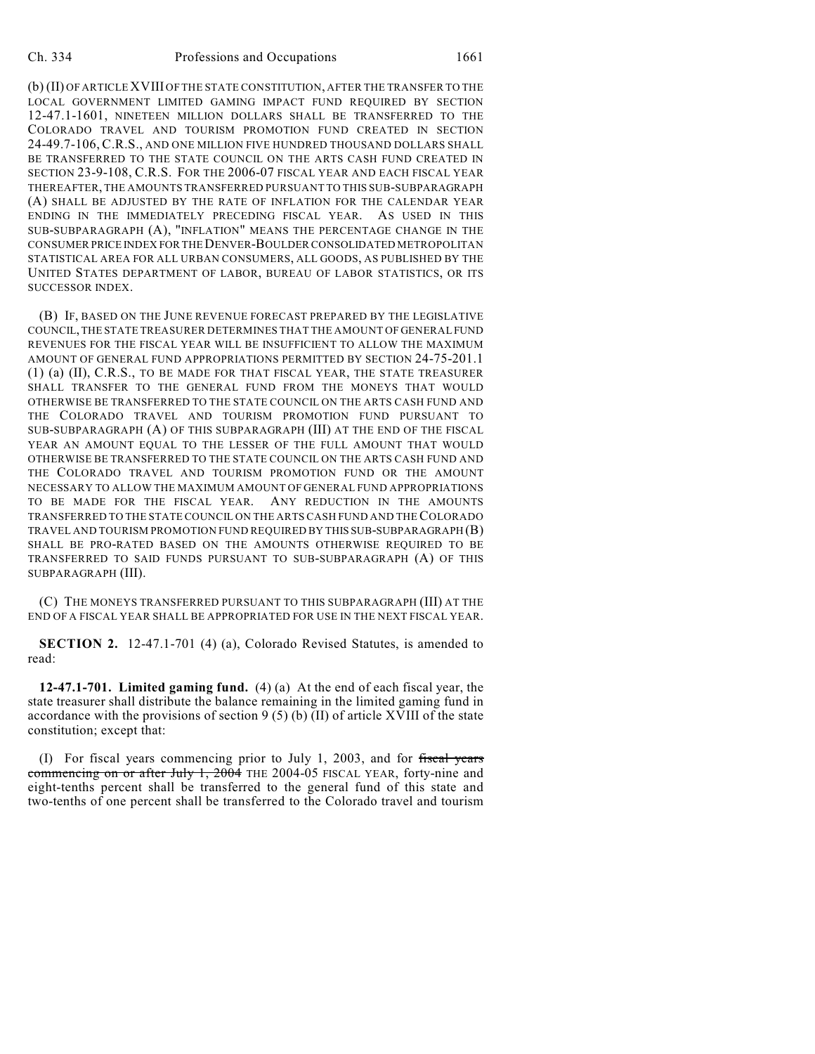(b) (II) OF ARTICLE XVIII OF THE STATE CONSTITUTION, AFTER THE TRANSFER TO THE LOCAL GOVERNMENT LIMITED GAMING IMPACT FUND REQUIRED BY SECTION 12-47.1-1601, NINETEEN MILLION DOLLARS SHALL BE TRANSFERRED TO THE COLORADO TRAVEL AND TOURISM PROMOTION FUND CREATED IN SECTION 24-49.7-106, C.R.S., AND ONE MILLION FIVE HUNDRED THOUSAND DOLLARS SHALL BE TRANSFERRED TO THE STATE COUNCIL ON THE ARTS CASH FUND CREATED IN SECTION 23-9-108, C.R.S. FOR THE 2006-07 FISCAL YEAR AND EACH FISCAL YEAR THEREAFTER, THE AMOUNTS TRANSFERRED PURSUANT TO THIS SUB-SUBPARAGRAPH (A) SHALL BE ADJUSTED BY THE RATE OF INFLATION FOR THE CALENDAR YEAR ENDING IN THE IMMEDIATELY PRECEDING FISCAL YEAR. AS USED IN THIS SUB-SUBPARAGRAPH (A), "INFLATION" MEANS THE PERCENTAGE CHANGE IN THE CONSUMER PRICE INDEX FOR THE DENVER-BOULDER CONSOLIDATED METROPOLITAN STATISTICAL AREA FOR ALL URBAN CONSUMERS, ALL GOODS, AS PUBLISHED BY THE UNITED STATES DEPARTMENT OF LABOR, BUREAU OF LABOR STATISTICS, OR ITS SUCCESSOR INDEX.

(B) IF, BASED ON THE JUNE REVENUE FORECAST PREPARED BY THE LEGISLATIVE COUNCIL, THE STATE TREASURER DETERMINES THAT THE AMOUNT OF GENERAL FUND REVENUES FOR THE FISCAL YEAR WILL BE INSUFFICIENT TO ALLOW THE MAXIMUM AMOUNT OF GENERAL FUND APPROPRIATIONS PERMITTED BY SECTION 24-75-201.1 (1) (a) (II), C.R.S., TO BE MADE FOR THAT FISCAL YEAR, THE STATE TREASURER SHALL TRANSFER TO THE GENERAL FUND FROM THE MONEYS THAT WOULD OTHERWISE BE TRANSFERRED TO THE STATE COUNCIL ON THE ARTS CASH FUND AND THE COLORADO TRAVEL AND TOURISM PROMOTION FUND PURSUANT TO SUB-SUBPARAGRAPH (A) OF THIS SUBPARAGRAPH (III) AT THE END OF THE FISCAL YEAR AN AMOUNT EQUAL TO THE LESSER OF THE FULL AMOUNT THAT WOULD OTHERWISE BE TRANSFERRED TO THE STATE COUNCIL ON THE ARTS CASH FUND AND THE COLORADO TRAVEL AND TOURISM PROMOTION FUND OR THE AMOUNT NECESSARY TO ALLOW THE MAXIMUM AMOUNT OF GENERAL FUND APPROPRIATIONS TO BE MADE FOR THE FISCAL YEAR. ANY REDUCTION IN THE AMOUNTS TRANSFERRED TO THE STATE COUNCIL ON THE ARTS CASH FUND AND THE COLORADO TRAVEL AND TOURISM PROMOTION FUND REQUIRED BY THIS SUB-SUBPARAGRAPH (B) SHALL BE PRO-RATED BASED ON THE AMOUNTS OTHERWISE REQUIRED TO BE TRANSFERRED TO SAID FUNDS PURSUANT TO SUB-SUBPARAGRAPH (A) OF THIS SUBPARAGRAPH (III).

(C) THE MONEYS TRANSFERRED PURSUANT TO THIS SUBPARAGRAPH (III) AT THE END OF A FISCAL YEAR SHALL BE APPROPRIATED FOR USE IN THE NEXT FISCAL YEAR.

**SECTION 2.** 12-47.1-701 (4) (a), Colorado Revised Statutes, is amended to read:

**12-47.1-701. Limited gaming fund.** (4) (a) At the end of each fiscal year, the state treasurer shall distribute the balance remaining in the limited gaming fund in accordance with the provisions of section  $9(5)(b)(II)$  of article XVIII of the state constitution; except that:

(I) For fiscal years commencing prior to July 1, 2003, and for fiscal years commencing on or after July 1, 2004 THE 2004-05 FISCAL YEAR, forty-nine and eight-tenths percent shall be transferred to the general fund of this state and two-tenths of one percent shall be transferred to the Colorado travel and tourism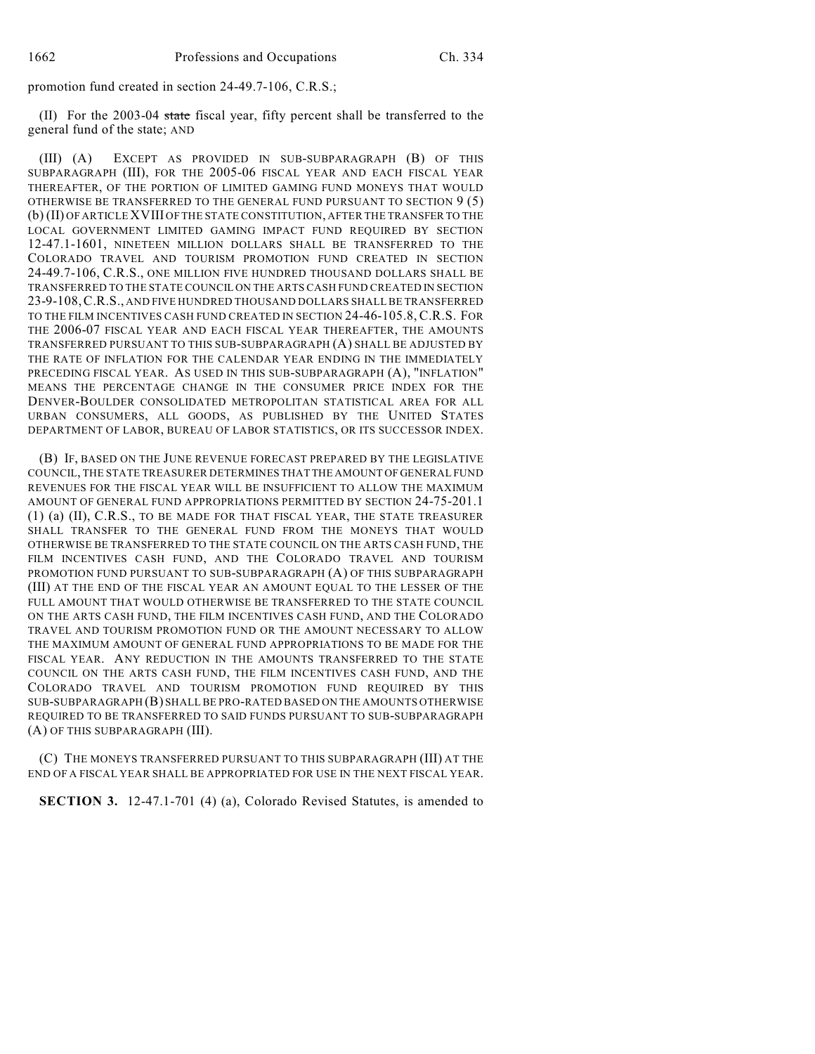promotion fund created in section 24-49.7-106, C.R.S.;

(II) For the 2003-04 state fiscal year, fifty percent shall be transferred to the general fund of the state; AND

(III) (A) EXCEPT AS PROVIDED IN SUB-SUBPARAGRAPH (B) OF THIS SUBPARAGRAPH (III), FOR THE 2005-06 FISCAL YEAR AND EACH FISCAL YEAR THEREAFTER, OF THE PORTION OF LIMITED GAMING FUND MONEYS THAT WOULD OTHERWISE BE TRANSFERRED TO THE GENERAL FUND PURSUANT TO SECTION 9 (5) (b) (II) OF ARTICLE XVIII OF THE STATE CONSTITUTION, AFTER THE TRANSFER TO THE LOCAL GOVERNMENT LIMITED GAMING IMPACT FUND REQUIRED BY SECTION 12-47.1-1601, NINETEEN MILLION DOLLARS SHALL BE TRANSFERRED TO THE COLORADO TRAVEL AND TOURISM PROMOTION FUND CREATED IN SECTION 24-49.7-106, C.R.S., ONE MILLION FIVE HUNDRED THOUSAND DOLLARS SHALL BE TRANSFERRED TO THE STATE COUNCIL ON THE ARTS CASH FUND CREATED IN SECTION 23-9-108,C.R.S., AND FIVE HUNDRED THOUSAND DOLLARS SHALL BE TRANSFERRED TO THE FILM INCENTIVES CASH FUND CREATED IN SECTION 24-46-105.8, C.R.S. FOR THE 2006-07 FISCAL YEAR AND EACH FISCAL YEAR THEREAFTER, THE AMOUNTS TRANSFERRED PURSUANT TO THIS SUB-SUBPARAGRAPH (A) SHALL BE ADJUSTED BY THE RATE OF INFLATION FOR THE CALENDAR YEAR ENDING IN THE IMMEDIATELY PRECEDING FISCAL YEAR. AS USED IN THIS SUB-SUBPARAGRAPH (A), "INFLATION" MEANS THE PERCENTAGE CHANGE IN THE CONSUMER PRICE INDEX FOR THE DENVER-BOULDER CONSOLIDATED METROPOLITAN STATISTICAL AREA FOR ALL URBAN CONSUMERS, ALL GOODS, AS PUBLISHED BY THE UNITED STATES DEPARTMENT OF LABOR, BUREAU OF LABOR STATISTICS, OR ITS SUCCESSOR INDEX.

(B) IF, BASED ON THE JUNE REVENUE FORECAST PREPARED BY THE LEGISLATIVE COUNCIL, THE STATE TREASURER DETERMINES THAT THE AMOUNT OF GENERAL FUND REVENUES FOR THE FISCAL YEAR WILL BE INSUFFICIENT TO ALLOW THE MAXIMUM AMOUNT OF GENERAL FUND APPROPRIATIONS PERMITTED BY SECTION 24-75-201.1 (1) (a) (II), C.R.S., TO BE MADE FOR THAT FISCAL YEAR, THE STATE TREASURER SHALL TRANSFER TO THE GENERAL FUND FROM THE MONEYS THAT WOULD OTHERWISE BE TRANSFERRED TO THE STATE COUNCIL ON THE ARTS CASH FUND, THE FILM INCENTIVES CASH FUND, AND THE COLORADO TRAVEL AND TOURISM PROMOTION FUND PURSUANT TO SUB-SUBPARAGRAPH (A) OF THIS SUBPARAGRAPH (III) AT THE END OF THE FISCAL YEAR AN AMOUNT EQUAL TO THE LESSER OF THE FULL AMOUNT THAT WOULD OTHERWISE BE TRANSFERRED TO THE STATE COUNCIL ON THE ARTS CASH FUND, THE FILM INCENTIVES CASH FUND, AND THE COLORADO TRAVEL AND TOURISM PROMOTION FUND OR THE AMOUNT NECESSARY TO ALLOW THE MAXIMUM AMOUNT OF GENERAL FUND APPROPRIATIONS TO BE MADE FOR THE FISCAL YEAR. ANY REDUCTION IN THE AMOUNTS TRANSFERRED TO THE STATE COUNCIL ON THE ARTS CASH FUND, THE FILM INCENTIVES CASH FUND, AND THE COLORADO TRAVEL AND TOURISM PROMOTION FUND REQUIRED BY THIS SUB-SUBPARAGRAPH (B) SHALL BE PRO-RATED BASED ON THE AMOUNTS OTHERWISE REQUIRED TO BE TRANSFERRED TO SAID FUNDS PURSUANT TO SUB-SUBPARAGRAPH (A) OF THIS SUBPARAGRAPH (III).

(C) THE MONEYS TRANSFERRED PURSUANT TO THIS SUBPARAGRAPH (III) AT THE END OF A FISCAL YEAR SHALL BE APPROPRIATED FOR USE IN THE NEXT FISCAL YEAR.

**SECTION 3.** 12-47.1-701 (4) (a), Colorado Revised Statutes, is amended to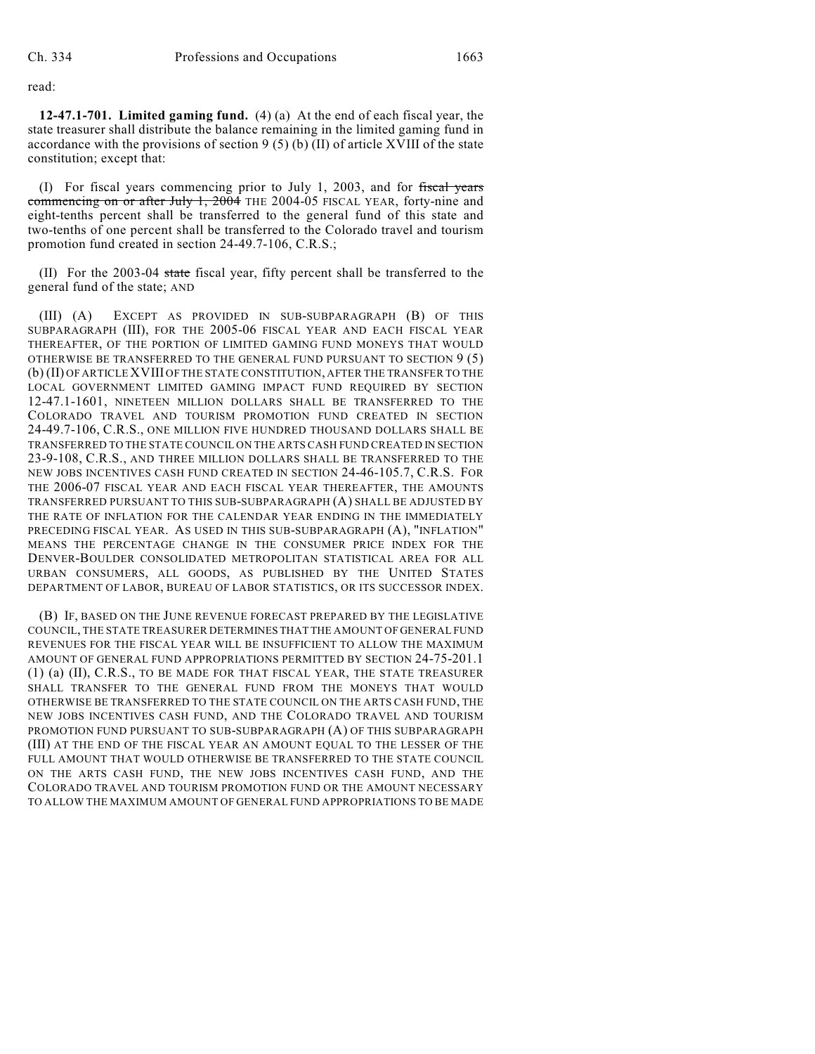read:

**12-47.1-701. Limited gaming fund.** (4) (a) At the end of each fiscal year, the state treasurer shall distribute the balance remaining in the limited gaming fund in accordance with the provisions of section  $9(5)$  (b) (II) of article XVIII of the state constitution; except that:

(I) For fiscal years commencing prior to July 1, 2003, and for fiscal years commencing on or after July 1, 2004 THE 2004-05 FISCAL YEAR, forty-nine and eight-tenths percent shall be transferred to the general fund of this state and two-tenths of one percent shall be transferred to the Colorado travel and tourism promotion fund created in section 24-49.7-106, C.R.S.;

(II) For the 2003-04 state fiscal year, fifty percent shall be transferred to the general fund of the state; AND

(III) (A) EXCEPT AS PROVIDED IN SUB-SUBPARAGRAPH (B) OF THIS SUBPARAGRAPH (III), FOR THE 2005-06 FISCAL YEAR AND EACH FISCAL YEAR THEREAFTER, OF THE PORTION OF LIMITED GAMING FUND MONEYS THAT WOULD OTHERWISE BE TRANSFERRED TO THE GENERAL FUND PURSUANT TO SECTION 9 (5) (b) (II) OF ARTICLE XVIII OF THE STATE CONSTITUTION, AFTER THE TRANSFER TO THE LOCAL GOVERNMENT LIMITED GAMING IMPACT FUND REQUIRED BY SECTION 12-47.1-1601, NINETEEN MILLION DOLLARS SHALL BE TRANSFERRED TO THE COLORADO TRAVEL AND TOURISM PROMOTION FUND CREATED IN SECTION 24-49.7-106, C.R.S., ONE MILLION FIVE HUNDRED THOUSAND DOLLARS SHALL BE TRANSFERRED TO THE STATE COUNCIL ON THE ARTS CASH FUND CREATED IN SECTION 23-9-108, C.R.S., AND THREE MILLION DOLLARS SHALL BE TRANSFERRED TO THE NEW JOBS INCENTIVES CASH FUND CREATED IN SECTION 24-46-105.7, C.R.S. FOR THE 2006-07 FISCAL YEAR AND EACH FISCAL YEAR THEREAFTER, THE AMOUNTS TRANSFERRED PURSUANT TO THIS SUB-SUBPARAGRAPH (A) SHALL BE ADJUSTED BY THE RATE OF INFLATION FOR THE CALENDAR YEAR ENDING IN THE IMMEDIATELY PRECEDING FISCAL YEAR. AS USED IN THIS SUB-SUBPARAGRAPH (A), "INFLATION" MEANS THE PERCENTAGE CHANGE IN THE CONSUMER PRICE INDEX FOR THE DENVER-BOULDER CONSOLIDATED METROPOLITAN STATISTICAL AREA FOR ALL URBAN CONSUMERS, ALL GOODS, AS PUBLISHED BY THE UNITED STATES DEPARTMENT OF LABOR, BUREAU OF LABOR STATISTICS, OR ITS SUCCESSOR INDEX.

(B) IF, BASED ON THE JUNE REVENUE FORECAST PREPARED BY THE LEGISLATIVE COUNCIL, THE STATE TREASURER DETERMINES THAT THE AMOUNT OF GENERAL FUND REVENUES FOR THE FISCAL YEAR WILL BE INSUFFICIENT TO ALLOW THE MAXIMUM AMOUNT OF GENERAL FUND APPROPRIATIONS PERMITTED BY SECTION 24-75-201.1 (1) (a) (II), C.R.S., TO BE MADE FOR THAT FISCAL YEAR, THE STATE TREASURER SHALL TRANSFER TO THE GENERAL FUND FROM THE MONEYS THAT WOULD OTHERWISE BE TRANSFERRED TO THE STATE COUNCIL ON THE ARTS CASH FUND, THE NEW JOBS INCENTIVES CASH FUND, AND THE COLORADO TRAVEL AND TOURISM PROMOTION FUND PURSUANT TO SUB-SUBPARAGRAPH (A) OF THIS SUBPARAGRAPH (III) AT THE END OF THE FISCAL YEAR AN AMOUNT EQUAL TO THE LESSER OF THE FULL AMOUNT THAT WOULD OTHERWISE BE TRANSFERRED TO THE STATE COUNCIL ON THE ARTS CASH FUND, THE NEW JOBS INCENTIVES CASH FUND, AND THE COLORADO TRAVEL AND TOURISM PROMOTION FUND OR THE AMOUNT NECESSARY TO ALLOW THE MAXIMUM AMOUNT OF GENERAL FUND APPROPRIATIONS TO BE MADE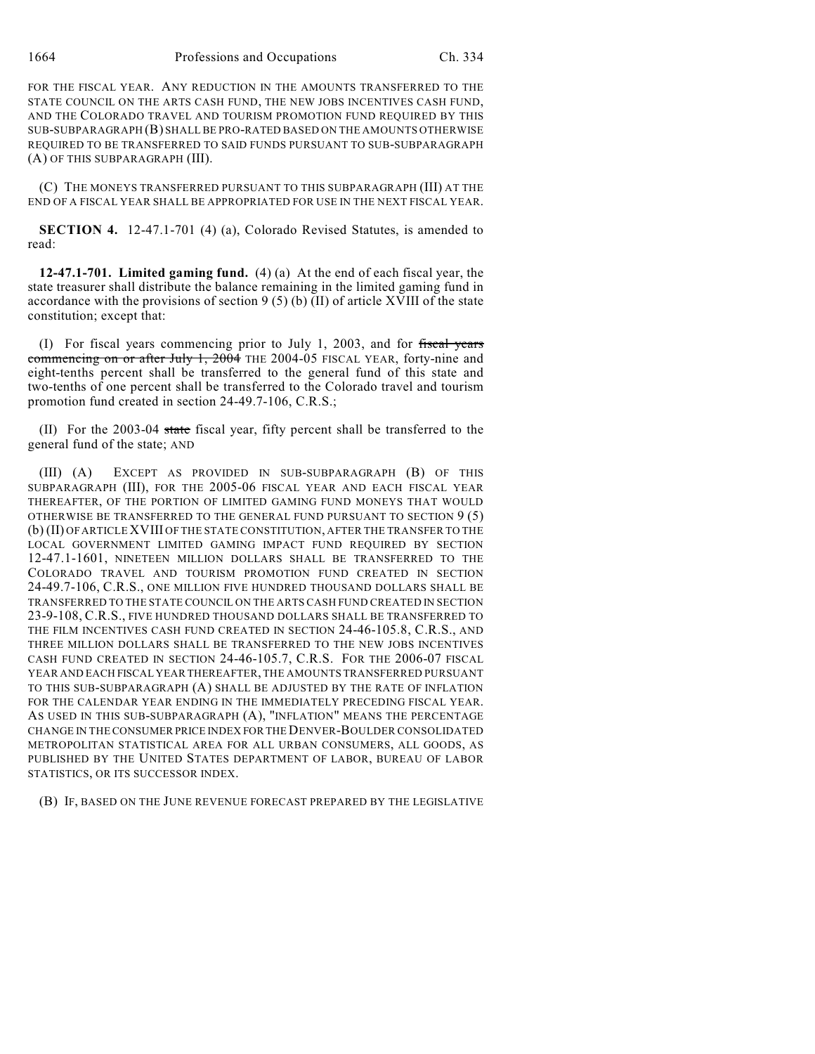1664 Professions and Occupations Ch. 334

FOR THE FISCAL YEAR. ANY REDUCTION IN THE AMOUNTS TRANSFERRED TO THE STATE COUNCIL ON THE ARTS CASH FUND, THE NEW JOBS INCENTIVES CASH FUND, AND THE COLORADO TRAVEL AND TOURISM PROMOTION FUND REQUIRED BY THIS SUB-SUBPARAGRAPH (B) SHALL BE PRO-RATED BASED ON THE AMOUNTS OTHERWISE REQUIRED TO BE TRANSFERRED TO SAID FUNDS PURSUANT TO SUB-SUBPARAGRAPH (A) OF THIS SUBPARAGRAPH (III).

(C) THE MONEYS TRANSFERRED PURSUANT TO THIS SUBPARAGRAPH (III) AT THE END OF A FISCAL YEAR SHALL BE APPROPRIATED FOR USE IN THE NEXT FISCAL YEAR.

**SECTION 4.** 12-47.1-701 (4) (a), Colorado Revised Statutes, is amended to read:

**12-47.1-701. Limited gaming fund.** (4) (a) At the end of each fiscal year, the state treasurer shall distribute the balance remaining in the limited gaming fund in accordance with the provisions of section  $9(5)(b)(II)$  of article XVIII of the state constitution; except that:

(I) For fiscal years commencing prior to July 1, 2003, and for fiscal years commencing on or after July 1, 2004 THE 2004-05 FISCAL YEAR, forty-nine and eight-tenths percent shall be transferred to the general fund of this state and two-tenths of one percent shall be transferred to the Colorado travel and tourism promotion fund created in section 24-49.7-106, C.R.S.;

(II) For the 2003-04 state fiscal year, fifty percent shall be transferred to the general fund of the state; AND

(III) (A) EXCEPT AS PROVIDED IN SUB-SUBPARAGRAPH (B) OF THIS SUBPARAGRAPH (III), FOR THE 2005-06 FISCAL YEAR AND EACH FISCAL YEAR THEREAFTER, OF THE PORTION OF LIMITED GAMING FUND MONEYS THAT WOULD OTHERWISE BE TRANSFERRED TO THE GENERAL FUND PURSUANT TO SECTION 9 (5) (b) (II) OF ARTICLE XVIII OF THE STATE CONSTITUTION, AFTER THE TRANSFER TO THE LOCAL GOVERNMENT LIMITED GAMING IMPACT FUND REQUIRED BY SECTION 12-47.1-1601, NINETEEN MILLION DOLLARS SHALL BE TRANSFERRED TO THE COLORADO TRAVEL AND TOURISM PROMOTION FUND CREATED IN SECTION 24-49.7-106, C.R.S., ONE MILLION FIVE HUNDRED THOUSAND DOLLARS SHALL BE TRANSFERRED TO THE STATE COUNCIL ON THE ARTS CASH FUND CREATED IN SECTION 23-9-108, C.R.S., FIVE HUNDRED THOUSAND DOLLARS SHALL BE TRANSFERRED TO THE FILM INCENTIVES CASH FUND CREATED IN SECTION 24-46-105.8, C.R.S., AND THREE MILLION DOLLARS SHALL BE TRANSFERRED TO THE NEW JOBS INCENTIVES CASH FUND CREATED IN SECTION 24-46-105.7, C.R.S. FOR THE 2006-07 FISCAL YEAR AND EACH FISCAL YEAR THEREAFTER, THE AMOUNTS TRANSFERRED PURSUANT TO THIS SUB-SUBPARAGRAPH (A) SHALL BE ADJUSTED BY THE RATE OF INFLATION FOR THE CALENDAR YEAR ENDING IN THE IMMEDIATELY PRECEDING FISCAL YEAR. AS USED IN THIS SUB-SUBPARAGRAPH (A), "INFLATION" MEANS THE PERCENTAGE CHANGE IN THE CONSUMER PRICE INDEX FOR THE DENVER-BOULDER CONSOLIDATED METROPOLITAN STATISTICAL AREA FOR ALL URBAN CONSUMERS, ALL GOODS, AS PUBLISHED BY THE UNITED STATES DEPARTMENT OF LABOR, BUREAU OF LABOR STATISTICS, OR ITS SUCCESSOR INDEX.

(B) IF, BASED ON THE JUNE REVENUE FORECAST PREPARED BY THE LEGISLATIVE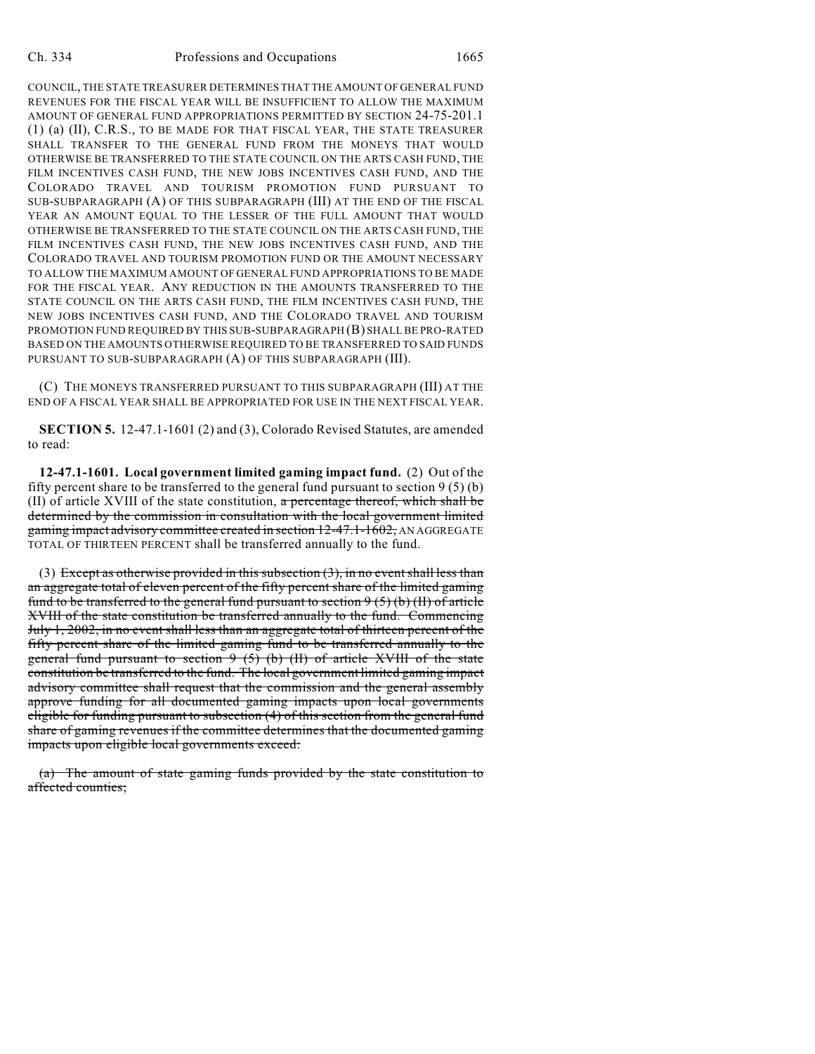COUNCIL, THE STATE TREASURER DETERMINES THAT THE AMOUNT OF GENERAL FUND REVENUES FOR THE FISCAL YEAR WILL BE INSUFFICIENT TO ALLOW THE MAXIMUM AMOUNT OF GENERAL FUND APPROPRIATIONS PERMITTED BY SECTION 24-75-201.1 (1) (a) (II), C.R.S., TO BE MADE FOR THAT FISCAL YEAR, THE STATE TREASURER SHALL TRANSFER TO THE GENERAL FUND FROM THE MONEYS THAT WOULD OTHERWISE BE TRANSFERRED TO THE STATE COUNCIL ON THE ARTS CASH FUND, THE FILM INCENTIVES CASH FUND, THE NEW JOBS INCENTIVES CASH FUND, AND THE COLORADO TRAVEL AND TOURISM PROMOTION FUND PURSUANT TO SUB-SUBPARAGRAPH (A) OF THIS SUBPARAGRAPH (III) AT THE END OF THE FISCAL YEAR AN AMOUNT EQUAL TO THE LESSER OF THE FULL AMOUNT THAT WOULD OTHERWISE BE TRANSFERRED TO THE STATE COUNCIL ON THE ARTS CASH FUND, THE FILM INCENTIVES CASH FUND, THE NEW JOBS INCENTIVES CASH FUND, AND THE COLORADO TRAVEL AND TOURISM PROMOTION FUND OR THE AMOUNT NECESSARY TO ALLOW THE MAXIMUM AMOUNT OF GENERAL FUND APPROPRIATIONS TO BE MADE FOR THE FISCAL YEAR. ANY REDUCTION IN THE AMOUNTS TRANSFERRED TO THE STATE COUNCIL ON THE ARTS CASH FUND, THE FILM INCENTIVES CASH FUND, THE NEW JOBS INCENTIVES CASH FUND, AND THE COLORADO TRAVEL AND TOURISM PROMOTION FUND REQUIRED BY THIS SUB-SUBPARAGRAPH (B) SHALL BE PRO-RATED BASED ON THE AMOUNTS OTHERWISE REQUIRED TO BE TRANSFERRED TO SAID FUNDS PURSUANT TO SUB-SUBPARAGRAPH (A) OF THIS SUBPARAGRAPH (III).

(C) THE MONEYS TRANSFERRED PURSUANT TO THIS SUBPARAGRAPH (III) AT THE END OF A FISCAL YEAR SHALL BE APPROPRIATED FOR USE IN THE NEXT FISCAL YEAR.

**SECTION 5.** 12-47.1-1601 (2) and (3), Colorado Revised Statutes, are amended to read:

**12-47.1-1601. Local government limited gaming impact fund.** (2) Out of the fifty percent share to be transferred to the general fund pursuant to section  $9(5)(b)$ (II) of article XVIII of the state constitution, a percentage thereof, which shall be determined by the commission in consultation with the local government limited gaming impact advisory committee created in section 12-47.1-1602, AN AGGREGATE TOTAL OF THIRTEEN PERCENT shall be transferred annually to the fund.

(3) Except as otherwise provided in this subsection  $(3)$ , in no event shall less than an aggregate total of eleven percent of the fifty percent share of the limited gaming fund to be transferred to the general fund pursuant to section  $9(5)(b)(H)$  of article XVIII of the state constitution be transferred annually to the fund. Commencing July 1, 2002, in no event shall less than an aggregate total of thirteen percent of the fifty percent share of the limited gaming fund to be transferred annually to the general fund pursuant to section 9 (5) (b) (II) of article XVIII of the state constitution be transferred to the fund. The local government limited gaming impact advisory committee shall request that the commission and the general assembly approve funding for all documented gaming impacts upon local governments eligible for funding pursuant to subsection (4) of this section from the general fund share of gaming revenues if the committee determines that the documented gaming impacts upon eligible local governments exceed:

(a) The amount of state gaming funds provided by the state constitution to affected counties;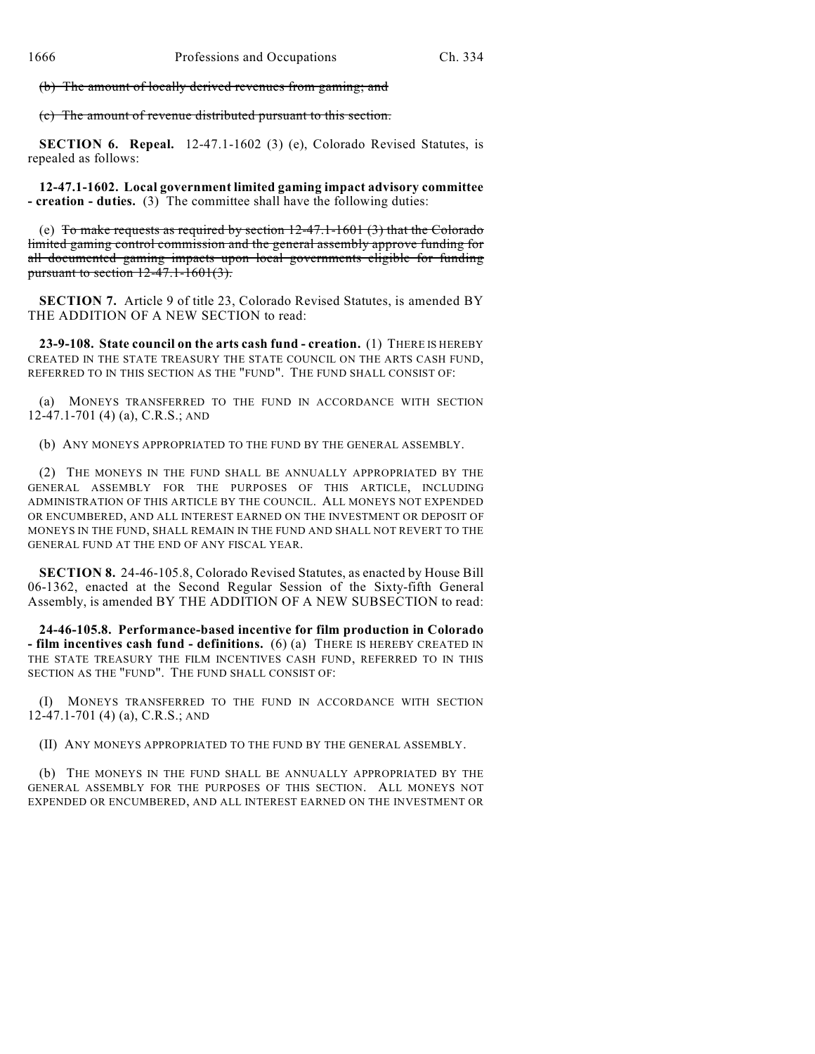(b) The amount of locally derived revenues from gaming; and

(c) The amount of revenue distributed pursuant to this section.

**SECTION 6. Repeal.** 12-47.1-1602 (3) (e), Colorado Revised Statutes, is repealed as follows:

**12-47.1-1602. Local government limited gaming impact advisory committee - creation - duties.** (3) The committee shall have the following duties:

(e) To make requests as required by section  $12-47.1-1601(3)$  that the Colorado limited gaming control commission and the general assembly approve funding for all documented gaming impacts upon local governments eligible for funding pursuant to section  $12-47.1-1601(3)$ .

**SECTION 7.** Article 9 of title 23, Colorado Revised Statutes, is amended BY THE ADDITION OF A NEW SECTION to read:

**23-9-108. State council on the arts cash fund - creation.** (1) THERE IS HEREBY CREATED IN THE STATE TREASURY THE STATE COUNCIL ON THE ARTS CASH FUND, REFERRED TO IN THIS SECTION AS THE "FUND". THE FUND SHALL CONSIST OF:

(a) MONEYS TRANSFERRED TO THE FUND IN ACCORDANCE WITH SECTION 12-47.1-701 (4) (a), C.R.S.; AND

(b) ANY MONEYS APPROPRIATED TO THE FUND BY THE GENERAL ASSEMBLY.

(2) THE MONEYS IN THE FUND SHALL BE ANNUALLY APPROPRIATED BY THE GENERAL ASSEMBLY FOR THE PURPOSES OF THIS ARTICLE, INCLUDING ADMINISTRATION OF THIS ARTICLE BY THE COUNCIL. ALL MONEYS NOT EXPENDED OR ENCUMBERED, AND ALL INTEREST EARNED ON THE INVESTMENT OR DEPOSIT OF MONEYS IN THE FUND, SHALL REMAIN IN THE FUND AND SHALL NOT REVERT TO THE GENERAL FUND AT THE END OF ANY FISCAL YEAR.

**SECTION 8.** 24-46-105.8, Colorado Revised Statutes, as enacted by House Bill 06-1362, enacted at the Second Regular Session of the Sixty-fifth General Assembly, is amended BY THE ADDITION OF A NEW SUBSECTION to read:

**24-46-105.8. Performance-based incentive for film production in Colorado - film incentives cash fund - definitions.** (6) (a) THERE IS HEREBY CREATED IN THE STATE TREASURY THE FILM INCENTIVES CASH FUND, REFERRED TO IN THIS SECTION AS THE "FUND". THE FUND SHALL CONSIST OF:

(I) MONEYS TRANSFERRED TO THE FUND IN ACCORDANCE WITH SECTION 12-47.1-701 (4) (a), C.R.S.; AND

(II) ANY MONEYS APPROPRIATED TO THE FUND BY THE GENERAL ASSEMBLY.

(b) THE MONEYS IN THE FUND SHALL BE ANNUALLY APPROPRIATED BY THE GENERAL ASSEMBLY FOR THE PURPOSES OF THIS SECTION. ALL MONEYS NOT EXPENDED OR ENCUMBERED, AND ALL INTEREST EARNED ON THE INVESTMENT OR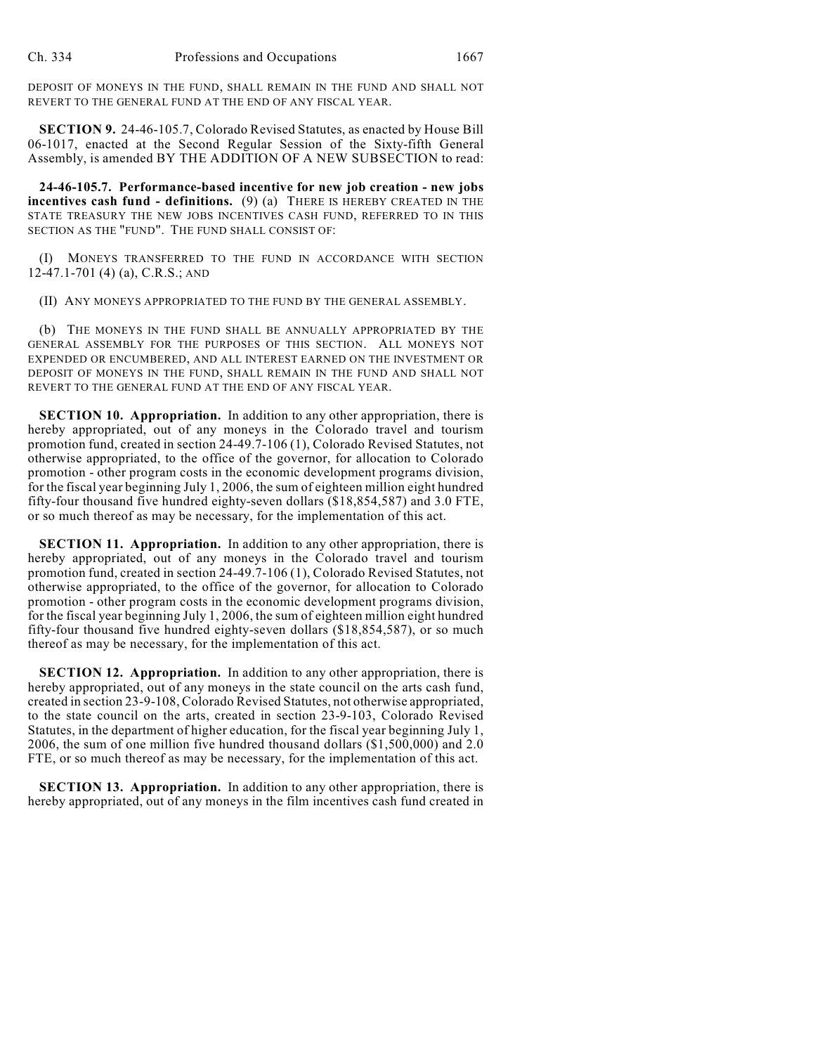DEPOSIT OF MONEYS IN THE FUND, SHALL REMAIN IN THE FUND AND SHALL NOT REVERT TO THE GENERAL FUND AT THE END OF ANY FISCAL YEAR.

**SECTION 9.** 24-46-105.7, Colorado Revised Statutes, as enacted by House Bill 06-1017, enacted at the Second Regular Session of the Sixty-fifth General Assembly, is amended BY THE ADDITION OF A NEW SUBSECTION to read:

**24-46-105.7. Performance-based incentive for new job creation - new jobs incentives cash fund - definitions.** (9) (a) THERE IS HEREBY CREATED IN THE STATE TREASURY THE NEW JOBS INCENTIVES CASH FUND, REFERRED TO IN THIS SECTION AS THE "FUND". THE FUND SHALL CONSIST OF:

(I) MONEYS TRANSFERRED TO THE FUND IN ACCORDANCE WITH SECTION 12-47.1-701 (4) (a), C.R.S.; AND

(II) ANY MONEYS APPROPRIATED TO THE FUND BY THE GENERAL ASSEMBLY.

(b) THE MONEYS IN THE FUND SHALL BE ANNUALLY APPROPRIATED BY THE GENERAL ASSEMBLY FOR THE PURPOSES OF THIS SECTION. ALL MONEYS NOT EXPENDED OR ENCUMBERED, AND ALL INTEREST EARNED ON THE INVESTMENT OR DEPOSIT OF MONEYS IN THE FUND, SHALL REMAIN IN THE FUND AND SHALL NOT REVERT TO THE GENERAL FUND AT THE END OF ANY FISCAL YEAR.

**SECTION 10. Appropriation.** In addition to any other appropriation, there is hereby appropriated, out of any moneys in the Colorado travel and tourism promotion fund, created in section 24-49.7-106 (1), Colorado Revised Statutes, not otherwise appropriated, to the office of the governor, for allocation to Colorado promotion - other program costs in the economic development programs division, for the fiscal year beginning July 1, 2006, the sum of eighteen million eight hundred fifty-four thousand five hundred eighty-seven dollars (\$18,854,587) and 3.0 FTE, or so much thereof as may be necessary, for the implementation of this act.

**SECTION 11. Appropriation.** In addition to any other appropriation, there is hereby appropriated, out of any moneys in the Colorado travel and tourism promotion fund, created in section 24-49.7-106 (1), Colorado Revised Statutes, not otherwise appropriated, to the office of the governor, for allocation to Colorado promotion - other program costs in the economic development programs division, for the fiscal year beginning July 1, 2006, the sum of eighteen million eight hundred fifty-four thousand five hundred eighty-seven dollars (\$18,854,587), or so much thereof as may be necessary, for the implementation of this act.

**SECTION 12. Appropriation.** In addition to any other appropriation, there is hereby appropriated, out of any moneys in the state council on the arts cash fund, created in section 23-9-108, Colorado Revised Statutes, not otherwise appropriated, to the state council on the arts, created in section 23-9-103, Colorado Revised Statutes, in the department of higher education, for the fiscal year beginning July 1, 2006, the sum of one million five hundred thousand dollars (\$1,500,000) and 2.0 FTE, or so much thereof as may be necessary, for the implementation of this act.

**SECTION 13. Appropriation.** In addition to any other appropriation, there is hereby appropriated, out of any moneys in the film incentives cash fund created in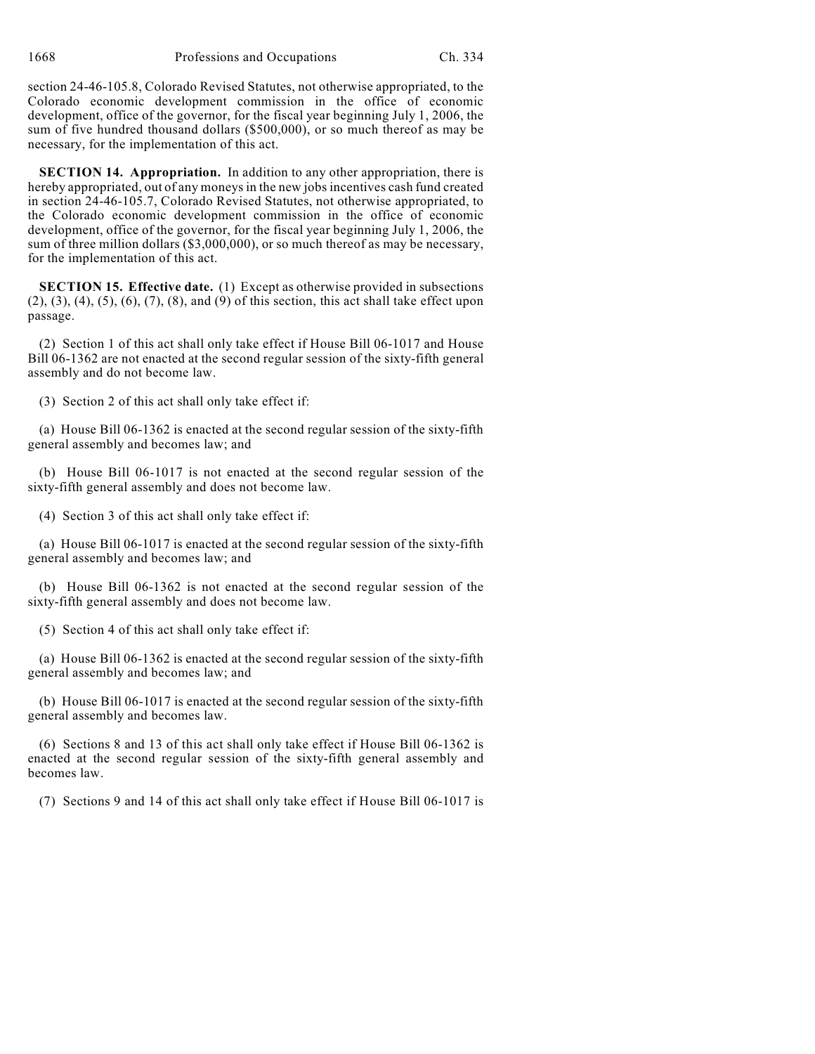section 24-46-105.8, Colorado Revised Statutes, not otherwise appropriated, to the Colorado economic development commission in the office of economic development, office of the governor, for the fiscal year beginning July 1, 2006, the sum of five hundred thousand dollars (\$500,000), or so much thereof as may be necessary, for the implementation of this act.

**SECTION 14. Appropriation.** In addition to any other appropriation, there is hereby appropriated, out of any moneys in the new jobs incentives cash fund created in section 24-46-105.7, Colorado Revised Statutes, not otherwise appropriated, to the Colorado economic development commission in the office of economic development, office of the governor, for the fiscal year beginning July 1, 2006, the sum of three million dollars (\$3,000,000), or so much thereof as may be necessary, for the implementation of this act.

**SECTION 15. Effective date.** (1) Except as otherwise provided in subsections (2), (3), (4), (5), (6), (7), (8), and (9) of this section, this act shall take effect upon passage.

(2) Section 1 of this act shall only take effect if House Bill 06-1017 and House Bill 06-1362 are not enacted at the second regular session of the sixty-fifth general assembly and do not become law.

(3) Section 2 of this act shall only take effect if:

(a) House Bill 06-1362 is enacted at the second regular session of the sixty-fifth general assembly and becomes law; and

(b) House Bill 06-1017 is not enacted at the second regular session of the sixty-fifth general assembly and does not become law.

(4) Section 3 of this act shall only take effect if:

(a) House Bill 06-1017 is enacted at the second regular session of the sixty-fifth general assembly and becomes law; and

(b) House Bill 06-1362 is not enacted at the second regular session of the sixty-fifth general assembly and does not become law.

(5) Section 4 of this act shall only take effect if:

(a) House Bill 06-1362 is enacted at the second regular session of the sixty-fifth general assembly and becomes law; and

(b) House Bill 06-1017 is enacted at the second regular session of the sixty-fifth general assembly and becomes law.

(6) Sections 8 and 13 of this act shall only take effect if House Bill 06-1362 is enacted at the second regular session of the sixty-fifth general assembly and becomes law.

(7) Sections 9 and 14 of this act shall only take effect if House Bill 06-1017 is